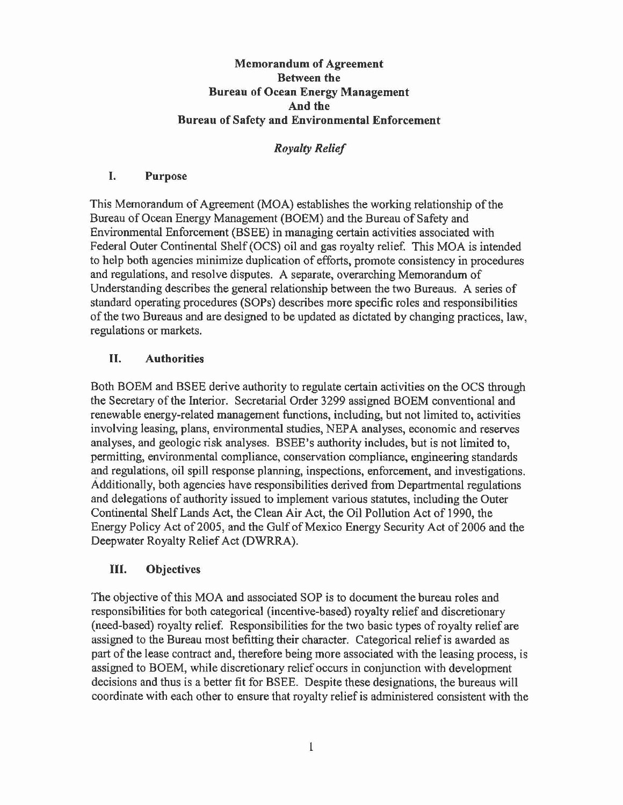### Memorandum of Agreement Between the Bureau of Ocean Energy Management And the Bureau of Safety and Environmental Enforcement

## *Royalty Relief*

### I. Purpose

This Memorandum of Agreement (MOA) establishes the working relationship of the Bureau of Ocean Energy Management (BOEM) and the Bureau of Safety and Environmental Enforcement (BSEE) in managing certain activities associated with Federal Outer Continental Shelf (OCS) oil and gas royalty relief. This MOA is intended to help both agencies minimize duplication of efforts, promote consistency in procedures and regulations, and resolve disputes. A separate, overarching Memorandum of Understanding describes the general relationship between the two Bureaus. A series of standard operating procedures (SOPs) describes more specific roles and responsibilities of the two Bureaus and are designed to be updated as dictated by changing practices, law, regulations or markets.

# II. Authorities

Both BOEM and BSEE derive authority to regulate certain activities on the OCS through the Secretary of the Interior. Secretarial Order 3299 assigned BOEM conventional and renewable energy-related management functions, including, but not limited to, activities involving leasing, plans, environmental studies, NEPA analyses, economic and reserves analyses, and geologic risk analyses. BSEE's authority includes, but is not limited to, permitting, environmental compliance, conservation compliance, engineering standards and regulations, oil spill response planning, inspections, enforcement, and investigations. Additionally, both agencies have responsibilities derived from Departmental regulations and delegations of authority issued to implement various statutes, including the Outer Continental Shelf Lands Act, the Clean Air Act, the Oil Pollution Act of 1990, the Energy Policy Act of 2005, and the Gulf of Mexico Energy Security Act of 2006 and the Deepwater Royalty Relief Act (DWRRA).

## III. Objectives

The objective ofthis MOA and associated SOP is to document the bureau roles and responsibilities for both categorical (incentive-based) royalty relief and discretionary (need-based) royalty relief. Responsibilities for the two basic types ofroyalty relief are assigned to the Bureau most befitting their character. Categorical relief is awarded as part of the lease contract and, therefore being more associated with the leasing process, is assigned to BOEM, while discretionary relief occurs in conjunction with development decisions and thus is a better fit for BSEE. Despite these designations, the bureaus will coordinate with each other to ensure that royalty relief is administered consistent with the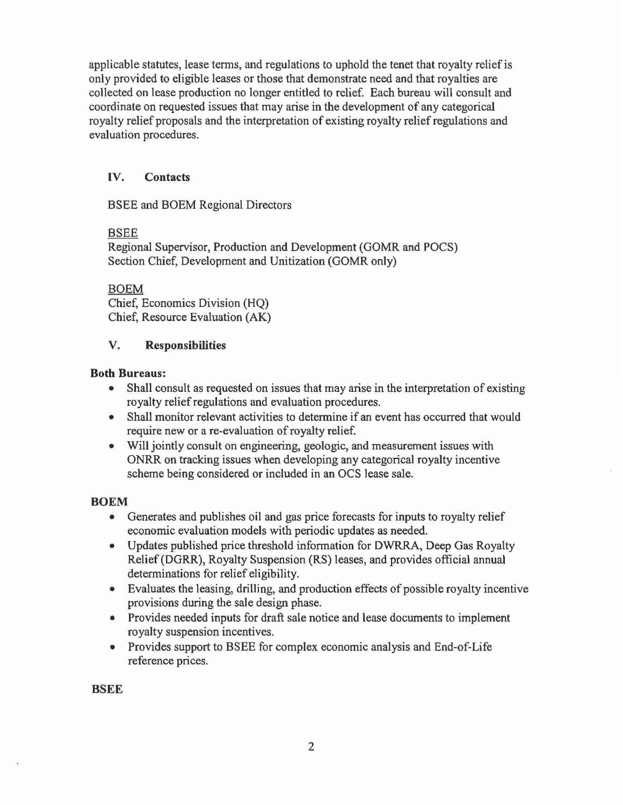applicable statutes, lease terms, and regulations to uphold the tenet that royalty relief is only provided to eligible leases or those that demonstrate need and that royalties are collected on lease production no longer entitled to relief. Each bureau will consult and coordinate on requested issues that may arise in the development of any categorical royalty relief proposals and the interpretation of existing royalty relief regulations and evaluation procedures.

### IV. Contacts

BSEE and BOEM Regional Directors

#### BSEE

Regional Supervisor, Production and Development (GOMR and POCS) Section Chief, Development and Unitization (GOMR only)

BOEM Chief, Economics Division (HQ) Chief, Resource Evaluation (AK)

### V. Responsibilities

#### Both Bureaus:

- Shall consult as requested on issues that may arise in the interpretation of existing royalty relief regulations and evaluation procedures.
- Shall monitor relevant activities to determine if an event has occurred that would require new or a re-evaluation of royalty relief.
- Will jointly consult on engineering, geologic, and measurement issues with ONRR on tracking issues when developing any categorical royalty incentive scheme being considered or included in an OCS lease sale.

#### BOEM

- Generates and publishes oil and gas price forecasts for inputs to royalty relief economic evaluation models with periodic updates as needed.
- Updates published price threshold information for DWRRA, Deep Gas Royalty Relief (DORR), Royalty Suspension (RS) leases, and provides official annual determinations for relief eligibility.
- Evaluates the leasing, drilling, and production effects of possible royalty incentive provisions during the sale design phase.
- Provides needed inputs for draft sale notice and lease documents to implement royalty suspension incentives.
- Provides support to BSEE for complex economic analysis and End-of-Life reference prices.

**BSEE**